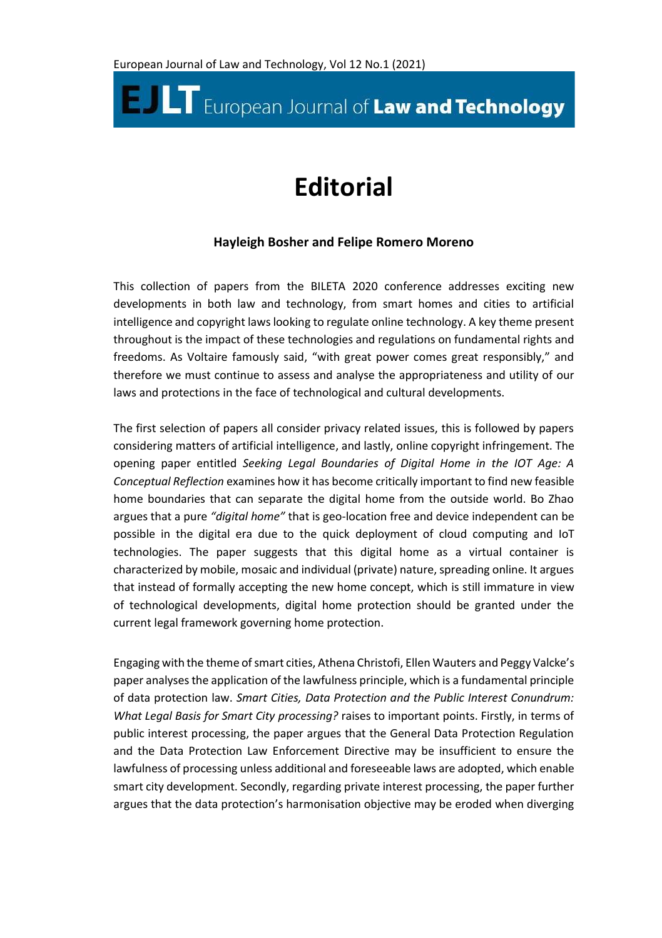## **E. ILT** European Journal of Law and Technology

## **Editorial**

## **Hayleigh Bosher and Felipe Romero Moreno**

This collection of papers from the BILETA 2020 conference addresses exciting new developments in both law and technology, from smart homes and cities to artificial intelligence and copyright laws looking to regulate online technology. A key theme present throughout is the impact of these technologies and regulations on fundamental rights and freedoms. As Voltaire famously said, "with great power comes great responsibly," and therefore we must continue to assess and analyse the appropriateness and utility of our laws and protections in the face of technological and cultural developments.

The first selection of papers all consider privacy related issues, this is followed by papers considering matters of artificial intelligence, and lastly, online copyright infringement. The opening paper entitled *Seeking Legal Boundaries of Digital Home in the IOT Age: A Conceptual Reflection* examines how it has become critically important to find new feasible home boundaries that can separate the digital home from the outside world. Bo Zhao argues that a pure *"digital home"* that is geo-location free and device independent can be possible in the digital era due to the quick deployment of cloud computing and IoT technologies. The paper suggests that this digital home as a virtual container is characterized by mobile, mosaic and individual (private) nature, spreading online. It argues that instead of formally accepting the new home concept, which is still immature in view of technological developments, digital home protection should be granted under the current legal framework governing home protection.

Engaging with the theme of smart cities, Athena Christofi, Ellen Wauters and Peggy Valcke's paper analyses the application of the lawfulness principle, which is a fundamental principle of data protection law. *Smart Cities, Data Protection and the Public Interest Conundrum: What Legal Basis for Smart City processing?* raises to important points. Firstly, in terms of public interest processing, the paper argues that the General Data Protection Regulation and the Data Protection Law Enforcement Directive may be insufficient to ensure the lawfulness of processing unless additional and foreseeable laws are adopted, which enable smart city development. Secondly, regarding private interest processing, the paper further argues that the data protection's harmonisation objective may be eroded when diverging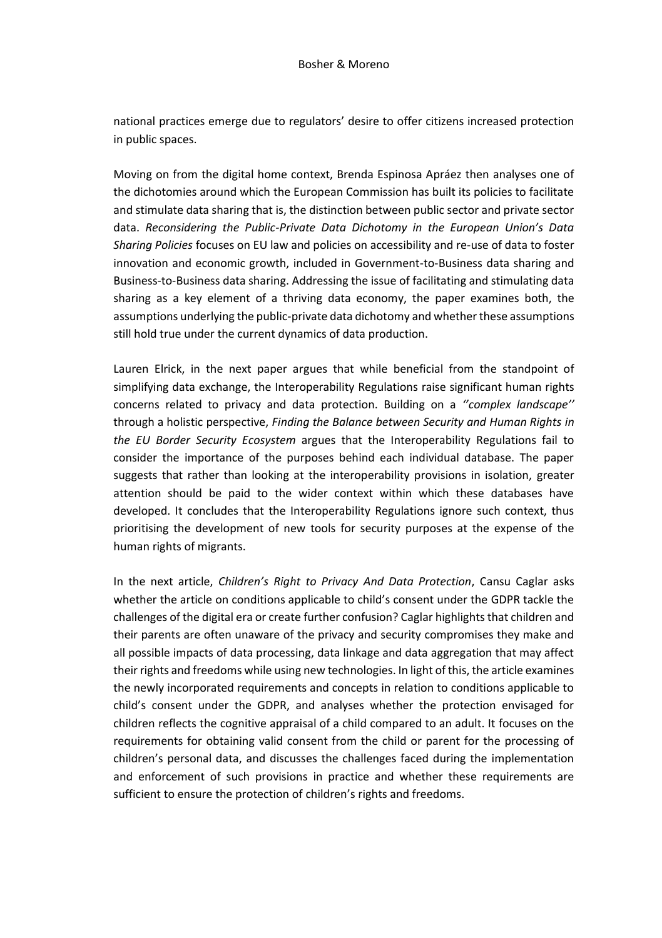national practices emerge due to regulators' desire to offer citizens increased protection in public spaces.

Moving on from the digital home context, Brenda Espinosa Apráez then analyses one of the dichotomies around which the European Commission has built its policies to facilitate and stimulate data sharing that is, the distinction between public sector and private sector data. *Reconsidering the Public-Private Data Dichotomy in the European Union's Data Sharing Policies* focuses on EU law and policies on accessibility and re-use of data to foster innovation and economic growth, included in Government-to-Business data sharing and Business-to-Business data sharing. Addressing the issue of facilitating and stimulating data sharing as a key element of a thriving data economy, the paper examines both, the assumptions underlying the public-private data dichotomy and whether these assumptions still hold true under the current dynamics of data production.

Lauren Elrick, in the next paper argues that while beneficial from the standpoint of simplifying data exchange, the Interoperability Regulations raise significant human rights concerns related to privacy and data protection. Building on a *''complex landscape''* through a holistic perspective, *Finding the Balance between Security and Human Rights in the EU Border Security Ecosystem* argues that the Interoperability Regulations fail to consider the importance of the purposes behind each individual database. The paper suggests that rather than looking at the interoperability provisions in isolation, greater attention should be paid to the wider context within which these databases have developed. It concludes that the Interoperability Regulations ignore such context, thus prioritising the development of new tools for security purposes at the expense of the human rights of migrants.

In the next article, *Children's Right to Privacy And Data Protection*, Cansu Caglar asks whether the article on conditions applicable to child's consent under the GDPR tackle the challenges of the digital era or create further confusion? Caglar highlights that children and their parents are often unaware of the privacy and security compromises they make and all possible impacts of data processing, data linkage and data aggregation that may affect their rights and freedoms while using new technologies. In light of this, the article examines the newly incorporated requirements and concepts in relation to conditions applicable to child's consent under the GDPR, and analyses whether the protection envisaged for children reflects the cognitive appraisal of a child compared to an adult. It focuses on the requirements for obtaining valid consent from the child or parent for the processing of children's personal data, and discusses the challenges faced during the implementation and enforcement of such provisions in practice and whether these requirements are sufficient to ensure the protection of children's rights and freedoms.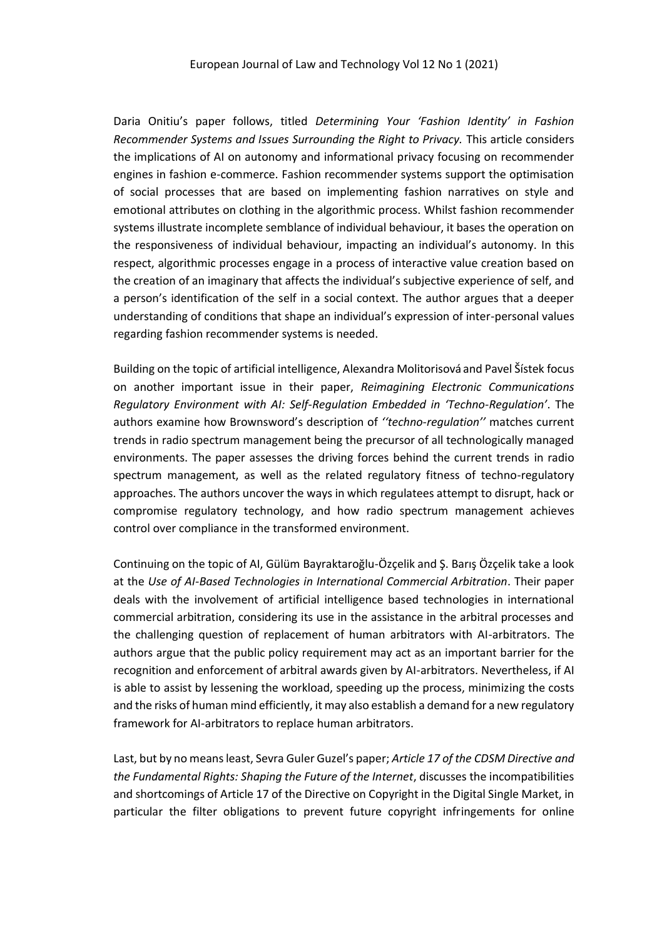Daria Onitiu's paper follows, titled *Determining Your 'Fashion Identity' in Fashion Recommender Systems and Issues Surrounding the Right to Privacy.* This article considers the implications of AI on autonomy and informational privacy focusing on recommender engines in fashion e-commerce. Fashion recommender systems support the optimisation of social processes that are based on implementing fashion narratives on style and emotional attributes on clothing in the algorithmic process. Whilst fashion recommender systems illustrate incomplete semblance of individual behaviour, it bases the operation on the responsiveness of individual behaviour, impacting an individual's autonomy. In this respect, algorithmic processes engage in a process of interactive value creation based on the creation of an imaginary that affects the individual's subjective experience of self, and a person's identification of the self in a social context. The author argues that a deeper understanding of conditions that shape an individual's expression of inter-personal values regarding fashion recommender systems is needed.

Building on the topic of artificial intelligence, Alexandra Molitorisová and Pavel Šístek focus on another important issue in their paper, *Reimagining Electronic Communications Regulatory Environment with AI: Self-Regulation Embedded in 'Techno-Regulation'*. The authors examine how Brownsword's description of *''techno-regulation''* matches current trends in radio spectrum management being the precursor of all technologically managed environments. The paper assesses the driving forces behind the current trends in radio spectrum management, as well as the related regulatory fitness of techno-regulatory approaches. The authors uncover the ways in which regulatees attempt to disrupt, hack or compromise regulatory technology, and how radio spectrum management achieves control over compliance in the transformed environment.

Continuing on the topic of AI, Gülüm Bayraktaroğlu-Özçelik and Ş. Barış Özçelik take a look at the *Use of AI-Based Technologies in International Commercial Arbitration*. Their paper deals with the involvement of artificial intelligence based technologies in international commercial arbitration, considering its use in the assistance in the arbitral processes and the challenging question of replacement of human arbitrators with AI-arbitrators. The authors argue that the public policy requirement may act as an important barrier for the recognition and enforcement of arbitral awards given by AI-arbitrators. Nevertheless, if AI is able to assist by lessening the workload, speeding up the process, minimizing the costs and the risks of human mind efficiently, it may also establish a demand for a new regulatory framework for AI-arbitrators to replace human arbitrators.

Last, but by no means least, Sevra Guler Guzel's paper; *Article 17 of the CDSM Directive and the Fundamental Rights: Shaping the Future of the Internet*, discusses the incompatibilities and shortcomings of Article 17 of the Directive on Copyright in the Digital Single Market, in particular the filter obligations to prevent future copyright infringements for online